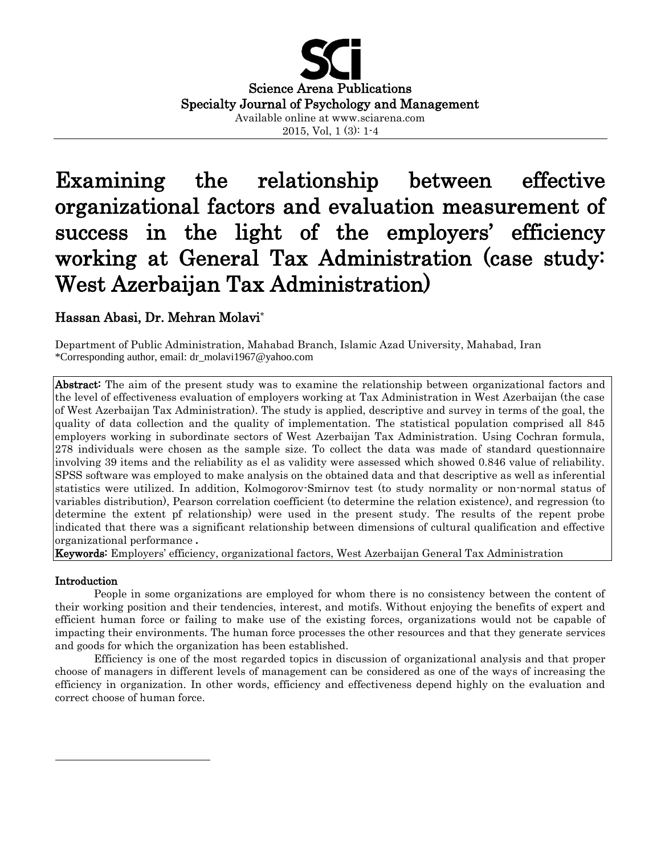

# Examining the relationship between effective organizational factors and evaluation measurement of success in the light of the employers' efficiency working at General Tax Administration (case study: West Azerbaijan Tax Administration)

# Hassan Abasi, Dr. Mehran Molavi**\***

Department of Public Administration, Mahabad Branch, Islamic Azad University, Mahabad, Iran \*Corresponding author, email: dr\_molavi1967@yahoo.com

Abstract: The aim of the present study was to examine the relationship between organizational factors and the level of effectiveness evaluation of employers working at Tax Administration in West Azerbaijan (the case of West Azerbaijan Tax Administration). The study is applied, descriptive and survey in terms of the goal, the quality of data collection and the quality of implementation. The statistical population comprised all 845 employers working in subordinate sectors of West Azerbaijan Tax Administration. Using Cochran formula, 278 individuals were chosen as the sample size. To collect the data was made of standard questionnaire involving 39 items and the reliability as el as validity were assessed which showed 0.846 value of reliability. SPSS software was employed to make analysis on the obtained data and that descriptive as well as inferential statistics were utilized. In addition, Kolmogorov-Smirnov test (to study normality or non-normal status of variables distribution), Pearson correlation coefficient (to determine the relation existence), and regression (to determine the extent pf relationship) were used in the present study. The results of the repent probe indicated that there was a significant relationship between dimensions of cultural qualification and effective organizational performance **.**

Keywords: Employers' efficiency, organizational factors, West Azerbaijan General Tax Administration

## Introduction

 $\overline{\phantom{a}}$ 

People in some organizations are employed for whom there is no consistency between the content of their working position and their tendencies, interest, and motifs. Without enjoying the benefits of expert and efficient human force or failing to make use of the existing forces, organizations would not be capable of impacting their environments. The human force processes the other resources and that they generate services and goods for which the organization has been established.

Efficiency is one of the most regarded topics in discussion of organizational analysis and that proper choose of managers in different levels of management can be considered as one of the ways of increasing the efficiency in organization. In other words, efficiency and effectiveness depend highly on the evaluation and correct choose of human force.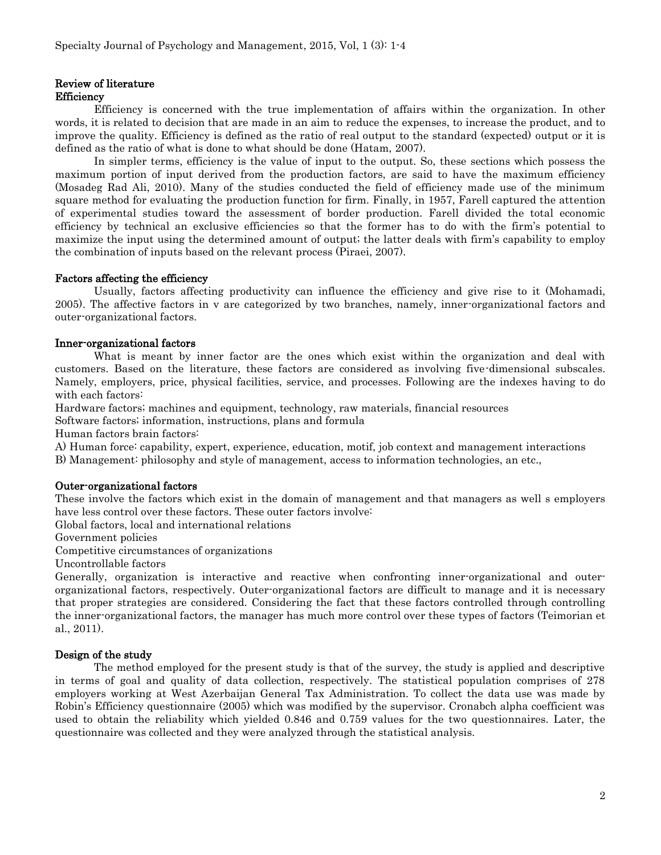# Review of literature

# **Efficiency**

Efficiency is concerned with the true implementation of affairs within the organization. In other words, it is related to decision that are made in an aim to reduce the expenses, to increase the product, and to improve the quality. Efficiency is defined as the ratio of real output to the standard (expected) output or it is defined as the ratio of what is done to what should be done (Hatam, 2007).

In simpler terms, efficiency is the value of input to the output. So, these sections which possess the maximum portion of input derived from the production factors, are said to have the maximum efficiency (Mosadeg Rad Ali, 2010). Many of the studies conducted the field of efficiency made use of the minimum square method for evaluating the production function for firm. Finally, in 1957, Farell captured the attention of experimental studies toward the assessment of border production. Farell divided the total economic efficiency by technical an exclusive efficiencies so that the former has to do with the firm's potential to maximize the input using the determined amount of output; the latter deals with firm's capability to employ the combination of inputs based on the relevant process (Piraei, 2007).

#### Factors affecting the efficiency

Usually, factors affecting productivity can influence the efficiency and give rise to it (Mohamadi, 2005). The affective factors in v are categorized by two branches, namely, inner-organizational factors and outer-organizational factors.

#### Inner-organizational factors

What is meant by inner factor are the ones which exist within the organization and deal with customers. Based on the literature, these factors are considered as involving five-dimensional subscales. Namely, employers, price, physical facilities, service, and processes. Following are the indexes having to do with each factors:

Hardware factors; machines and equipment, technology, raw materials, financial resources

Software factors; information, instructions, plans and formula

Human factors brain factors:

A) Human force: capability, expert, experience, education, motif, job context and management interactions

B) Management: philosophy and style of management, access to information technologies, an etc.,

#### Outer-organizational factors

These involve the factors which exist in the domain of management and that managers as well s employers have less control over these factors. These outer factors involve:

Global factors, local and international relations

Government policies

Competitive circumstances of organizations

Uncontrollable factors

Generally, organization is interactive and reactive when confronting inner-organizational and outerorganizational factors, respectively. Outer-organizational factors are difficult to manage and it is necessary that proper strategies are considered. Considering the fact that these factors controlled through controlling the inner-organizational factors, the manager has much more control over these types of factors (Teimorian et al., 2011).

## Design of the study

The method employed for the present study is that of the survey, the study is applied and descriptive in terms of goal and quality of data collection, respectively. The statistical population comprises of 278 employers working at West Azerbaijan General Tax Administration. To collect the data use was made by Robin's Efficiency questionnaire (2005) which was modified by the supervisor. Cronabch alpha coefficient was used to obtain the reliability which yielded 0.846 and 0.759 values for the two questionnaires. Later, the questionnaire was collected and they were analyzed through the statistical analysis.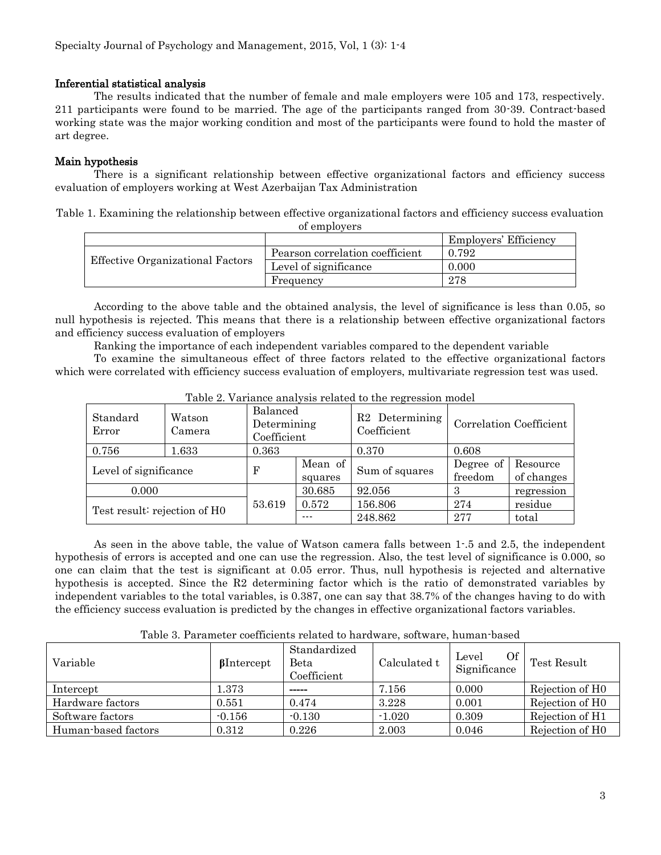#### Inferential statistical analysis

The results indicated that the number of female and male employers were 105 and 173, respectively. 211 participants were found to be married. The age of the participants ranged from 30-39. Contract-based working state was the major working condition and most of the participants were found to hold the master of art degree.

## Main hypothesis

There is a significant relationship between effective organizational factors and efficiency success evaluation of employers working at West Azerbaijan Tax Administration

| Table 1. Examining the relationship between effective organizational factors and efficiency success evaluation |              |  |  |
|----------------------------------------------------------------------------------------------------------------|--------------|--|--|
|                                                                                                                | of employers |  |  |

|                                         |                                 | Employers' Efficiency |
|-----------------------------------------|---------------------------------|-----------------------|
|                                         | Pearson correlation coefficient | 0.792                 |
| <b>Effective Organizational Factors</b> | Level of significance           | 0.000                 |
|                                         | Frequency                       | 278                   |

According to the above table and the obtained analysis, the level of significance is less than 0.05, so null hypothesis is rejected. This means that there is a relationship between effective organizational factors and efficiency success evaluation of employers

Ranking the importance of each independent variables compared to the dependent variable

To examine the simultaneous effect of three factors related to the effective organizational factors which were correlated with efficiency success evaluation of employers, multivariate regression test was used.

| $\mathbf{r}$ and $\mathbf{r}$ , arrange and $\mathbf{r}$ , where $\mathbf{r}$ is the complete $\mathbf{r}$ and $\mathbf{r}$ |                  |                                        |                    |                                  |                         |                        |  |
|-----------------------------------------------------------------------------------------------------------------------------|------------------|----------------------------------------|--------------------|----------------------------------|-------------------------|------------------------|--|
| Standard<br>Error                                                                                                           | Watson<br>Camera | Balanced<br>Determining<br>Coefficient |                    | Determining<br>R2<br>Coefficient | Correlation Coefficient |                        |  |
| 0.756                                                                                                                       | 1.633            | 0.363                                  |                    | 0.370                            | 0.608                   |                        |  |
| Level of significance                                                                                                       |                  | F                                      | Mean of<br>squares | Sum of squares                   | Degree of<br>freedom    | Resource<br>of changes |  |
| 0.000                                                                                                                       |                  |                                        | 30.685             | 92.056                           | З                       | regression             |  |
| Test result: rejection of H0                                                                                                |                  | 53.619                                 | 0.572              | 156.806                          | 274                     | residue                |  |
|                                                                                                                             |                  |                                        | $- - -$            | 248.862                          | 277                     | total                  |  |

Table 2. Variance analysis related to the regression model

As seen in the above table, the value of Watson camera falls between 1-.5 and 2.5, the independent hypothesis of errors is accepted and one can use the regression. Also, the test level of significance is 0.000, so one can claim that the test is significant at 0.05 error. Thus, null hypothesis is rejected and alternative hypothesis is accepted. Since the R2 determining factor which is the ratio of demonstrated variables by independent variables to the total variables, is 0.387, one can say that 38.7% of the changes having to do with the efficiency success evaluation is predicted by the changes in effective organizational factors variables.

| Variable            | $\beta$ Intercept | Standardized<br>Beta<br>Coefficient | Calculated t | <b>Of</b><br>Level<br>Significance | Test Result                 |
|---------------------|-------------------|-------------------------------------|--------------|------------------------------------|-----------------------------|
| Intercept           | l.373             |                                     | 7.156        | 0.000                              | Rejection of H <sub>0</sub> |
| Hardware factors    | 0.551             | 0.474                               | 3.228        | 0.001                              | Rejection of H <sub>0</sub> |
| Software factors    | $-0.156$          | $-0.130$                            | $-1.020$     | 0.309                              | Rejection of H1             |
| Human-based factors | 0.312             | 0.226                               | 2.003        | 0.046                              | Rejection of H <sub>0</sub> |

Table 3. Parameter coefficients related to hardware, software, human-based